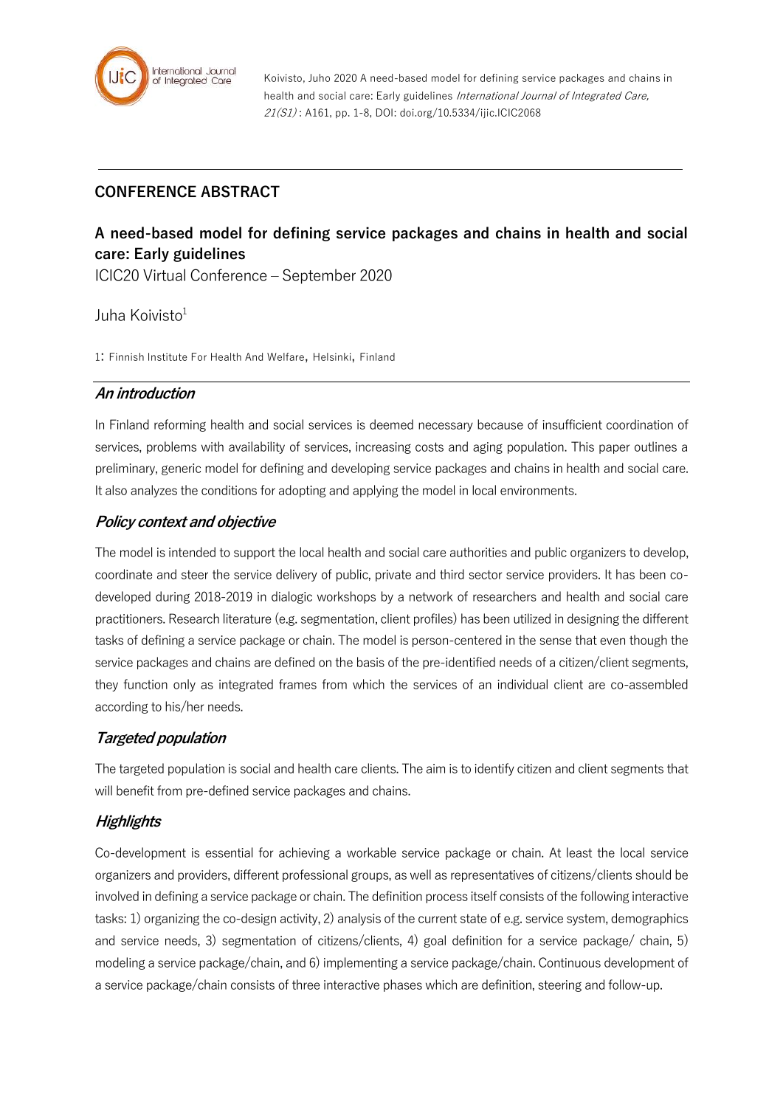

Koivisto, Juho 2020 A need-based model for defining service packages and chains in health and social care: Early guidelines International Journal of Integrated Care, 21(S1) : A161, pp. 1-8, DOI: doi.org/10.5334/ijic.ICIC2068

# **CONFERENCE ABSTRACT**

# **A need-based model for defining service packages and chains in health and social care: Early guidelines**

ICIC20 Virtual Conference – September 2020

Juha Koivisto<sup>1</sup>

1: Finnish Institute For Health And Welfare, Helsinki, Finland

#### **An introduction**

In Finland reforming health and social services is deemed necessary because of insufficient coordination of services, problems with availability of services, increasing costs and aging population. This paper outlines a preliminary, generic model for defining and developing service packages and chains in health and social care. It also analyzes the conditions for adopting and applying the model in local environments.

## **Policy context and objective**

The model is intended to support the local health and social care authorities and public organizers to develop, coordinate and steer the service delivery of public, private and third sector service providers. It has been codeveloped during 2018-2019 in dialogic workshops by a network of researchers and health and social care practitioners. Research literature (e.g. segmentation, client profiles) has been utilized in designing the different tasks of defining a service package or chain. The model is person-centered in the sense that even though the service packages and chains are defined on the basis of the pre-identified needs of a citizen/client segments, they function only as integrated frames from which the services of an individual client are co-assembled according to his/her needs.

### **Targeted population**

The targeted population is social and health care clients. The aim is to identify citizen and client segments that will benefit from pre-defined service packages and chains.

### **Highlights**

Co-development is essential for achieving a workable service package or chain. At least the local service organizers and providers, different professional groups, as well as representatives of citizens/clients should be involved in defining a service package or chain. The definition process itself consists of the following interactive tasks: 1) organizing the co-design activity, 2) analysis of the current state of e.g. service system, demographics and service needs, 3) segmentation of citizens/clients, 4) goal definition for a service package/ chain, 5) modeling a service package/chain, and 6) implementing a service package/chain. Continuous development of a service package/chain consists of three interactive phases which are definition, steering and follow-up.